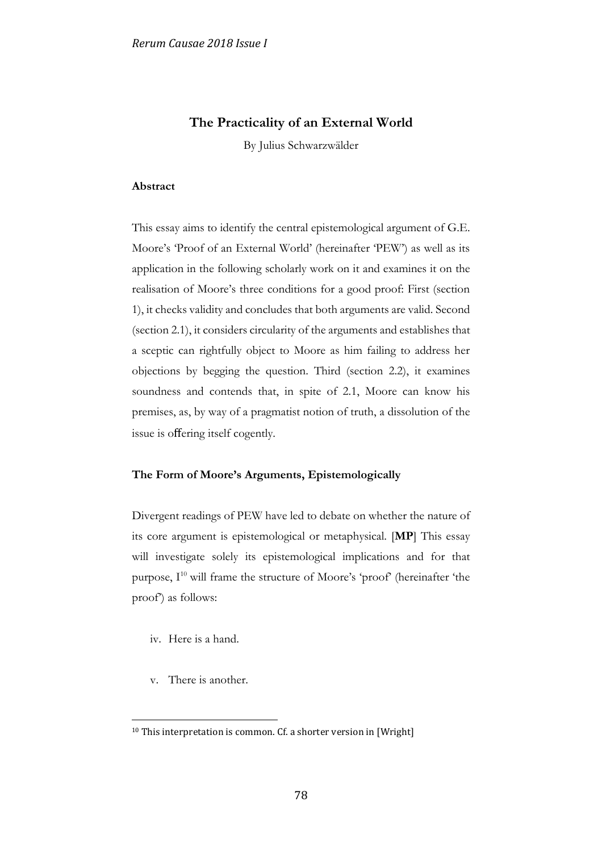# **The Practicality of an External World**

By Julius Schwarzwälder

### **Abstract**

This essay aims to identify the central epistemological argument of G.E. Moore's 'Proof of an External World' (hereinafter 'PEW') as well as its application in the following scholarly work on it and examines it on the realisation of Moore's three conditions for a good proof: First (section 1), it checks validity and concludes that both arguments are valid. Second (section 2.1), it considers circularity of the arguments and establishes that a sceptic can rightfully object to Moore as him failing to address her objections by begging the question. Third (section 2.2), it examines soundness and contends that, in spite of 2.1, Moore can know his premises, as, by way of a pragmatist notion of truth, a dissolution of the issue is offering itself cogently.

## **The Form of Moore's Arguments, Epistemologically**

Divergent readings of PEW have led to debate on whether the nature of its core argument is epistemological or metaphysical. [**MP**] This essay will investigate solely its epistemological implications and for that purpose, I<sup>10</sup> will frame the structure of Moore's 'proof' (hereinafter 'the proof') as follows:

- iv. Here is a hand.
- v. There is another.

1

<sup>&</sup>lt;sup>10</sup> This interpretation is common. Cf. a shorter version in [Wright]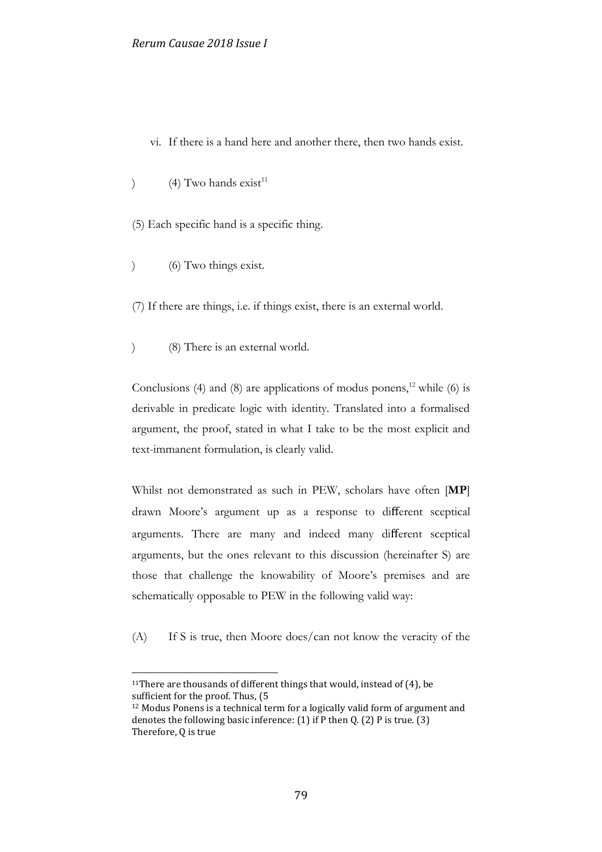- vi. If there is a hand here and another there, then two hands exist.
- ) (4) Two hands  $\text{exist}^{\text{11}}$
- (5) Each specific hand is a specific thing.
- ) (6) Two things exist.

1

- (7) If there are things, i.e. if things exist, there is an external world.
- ) (8) There is an external world.

Conclusions (4) and (8) are applications of modus ponens,<sup>12</sup> while (6) is derivable in predicate logic with identity. Translated into a formalised argument, the proof, stated in what I take to be the most explicit and text-immanent formulation, is clearly valid.

Whilst not demonstrated as such in PEW, scholars have often [**MP**] drawn Moore's argument up as a response to different sceptical arguments. There are many and indeed many different sceptical arguments, but the ones relevant to this discussion (hereinafter S) are those that challenge the knowability of Moore's premises and are schematically opposable to PEW in the following valid way:

(A) If S is true, then Moore does/can not know the veracity of the

<sup>&</sup>lt;sup>11</sup>There are thousands of different things that would, instead of  $(4)$ , be sufficient for the proof. Thus, (5

<sup>12</sup> Modus Ponens is a technical term for a logically valid form of argument and denotes the following basic inference:  $(1)$  if P then Q.  $(2)$  P is true.  $(3)$ Therefore, Q is true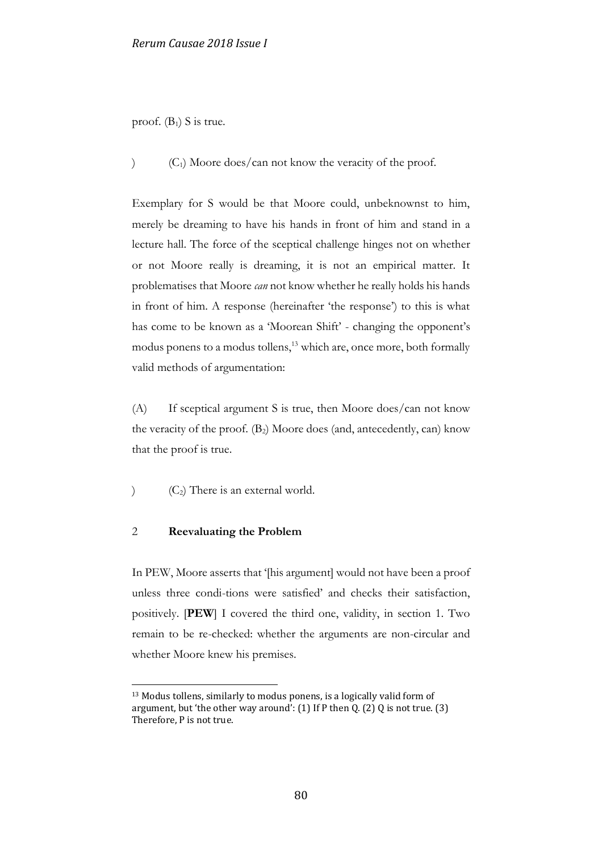proof.  $(B_1)$  S is true.

 $(C_1)$  Moore does/can not know the veracity of the proof.

Exemplary for S would be that Moore could, unbeknownst to him, merely be dreaming to have his hands in front of him and stand in a lecture hall. The force of the sceptical challenge hinges not on whether or not Moore really is dreaming, it is not an empirical matter. It problematises that Moore *can* not know whether he really holds his hands in front of him. A response (hereinafter 'the response') to this is what has come to be known as a 'Moorean Shift' - changing the opponent's modus ponens to a modus tollens,<sup>13</sup> which are, once more, both formally valid methods of argumentation:

(A) If sceptical argument S is true, then Moore does/can not know the veracity of the proof.  $(B_2)$  Moore does (and, antecedently, can) know that the proof is true.

 $(C_2)$  There is an external world.

## 2 **Reevaluating the Problem**

<u>.</u>

In PEW, Moore asserts that '[his argument] would not have been a proof unless three condi-tions were satisfied' and checks their satisfaction, positively. [**PEW**] I covered the third one, validity, in section 1. Two remain to be re-checked: whether the arguments are non-circular and whether Moore knew his premises.

<sup>13</sup> Modus tollens, similarly to modus ponens, is a logically valid form of argument, but 'the other way around':  $(1)$  If P then Q.  $(2)$  Q is not true.  $(3)$ Therefore, P is not true.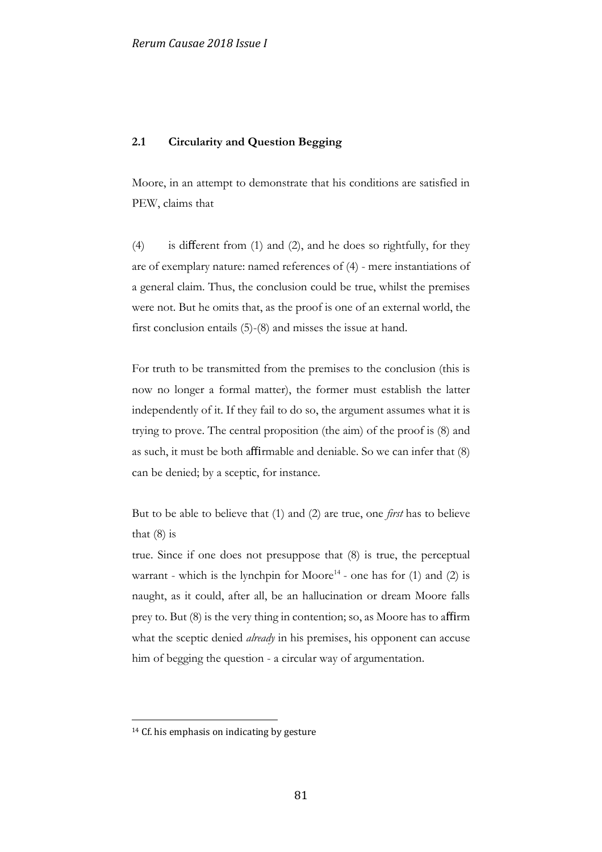## **2.1 Circularity and Question Begging**

Moore, in an attempt to demonstrate that his conditions are satisfied in PEW, claims that

(4) is different from (1) and (2), and he does so rightfully, for they are of exemplary nature: named references of (4) - mere instantiations of a general claim. Thus, the conclusion could be true, whilst the premises were not. But he omits that, as the proof is one of an external world, the first conclusion entails (5)-(8) and misses the issue at hand.

For truth to be transmitted from the premises to the conclusion (this is now no longer a formal matter), the former must establish the latter independently of it. If they fail to do so, the argument assumes what it is trying to prove. The central proposition (the aim) of the proof is (8) and as such, it must be both affirmable and deniable. So we can infer that (8) can be denied; by a sceptic, for instance.

But to be able to believe that (1) and (2) are true, one *first* has to believe that  $(8)$  is

true. Since if one does not presuppose that (8) is true, the perceptual warrant - which is the lynchpin for Moore<sup>14</sup> - one has for  $(1)$  and  $(2)$  is naught, as it could, after all, be an hallucination or dream Moore falls prey to. But (8) is the very thing in contention; so, as Moore has to affirm what the sceptic denied *already* in his premises, his opponent can accuse him of begging the question - a circular way of argumentation.

1

<sup>&</sup>lt;sup>14</sup> Cf. his emphasis on indicating by gesture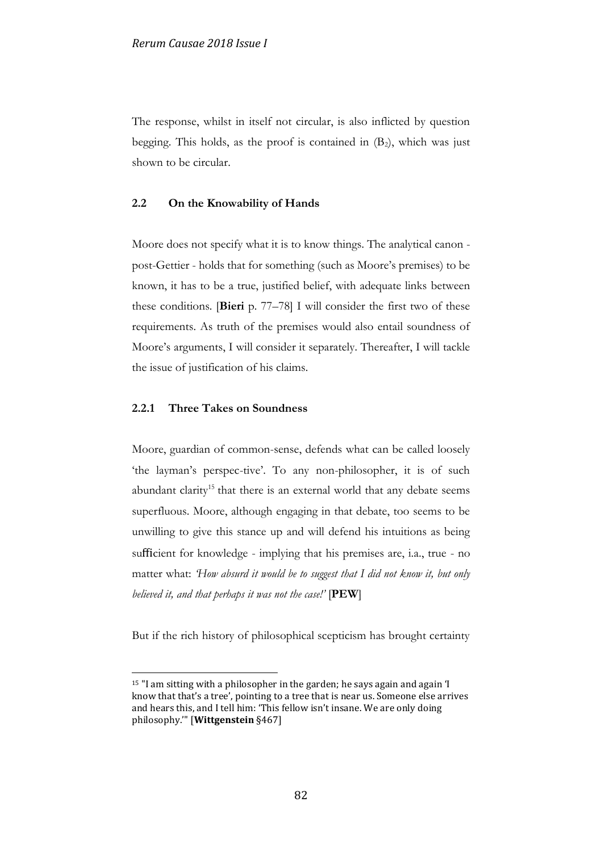The response, whilst in itself not circular, is also inflicted by question begging. This holds, as the proof is contained in  $(B_2)$ , which was just shown to be circular.

# **2.2 On the Knowability of Hands**

Moore does not specify what it is to know things. The analytical canon post-Gettier - holds that for something (such as Moore's premises) to be known, it has to be a true, justified belief, with adequate links between these conditions. [**Bieri** p. 77–78] I will consider the first two of these requirements. As truth of the premises would also entail soundness of Moore's arguments, I will consider it separately. Thereafter, I will tackle the issue of justification of his claims.

#### **2.2.1 Three Takes on Soundness**

1

Moore, guardian of common-sense, defends what can be called loosely 'the layman's perspec-tive'. To any non-philosopher, it is of such abundant clarity<sup>15</sup> that there is an external world that any debate seems superfluous. Moore, although engaging in that debate, too seems to be unwilling to give this stance up and will defend his intuitions as being sufficient for knowledge - implying that his premises are, i.a., true - no matter what: *'How absurd it would be to suggest that I did not know it, but only believed it, and that perhaps it was not the case!'* [**PEW**]

But if the rich history of philosophical scepticism has brought certainty

<sup>15</sup> "I am sitting with a philosopher in the garden; he says again and again 'I know that that's a tree', pointing to a tree that is near us. Someone else arrives and hears this, and I tell him: 'This fellow isn't insane. We are only doing philosophy.'" [**Wittgenstein** §467]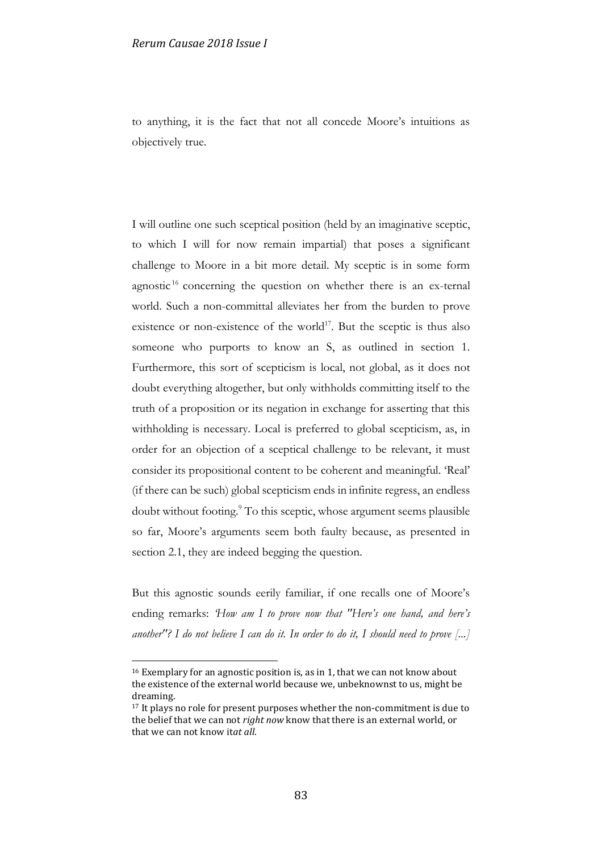to anything, it is the fact that not all concede Moore's intuitions as objectively true.

I will outline one such sceptical position (held by an imaginative sceptic, to which I will for now remain impartial) that poses a significant challenge to Moore in a bit more detail. My sceptic is in some form agnostic  $16$  concerning the question on whether there is an ex-ternal world. Such a non-committal alleviates her from the burden to prove existence or non-existence of the world<sup>17</sup>. But the sceptic is thus also someone who purports to know an S, as outlined in section 1. Furthermore, this sort of scepticism is local, not global, as it does not doubt everything altogether, but only withholds committing itself to the truth of a proposition or its negation in exchange for asserting that this withholding is necessary. Local is preferred to global scepticism, as, in order for an objection of a sceptical challenge to be relevant, it must consider its propositional content to be coherent and meaningful. 'Real' (if there can be such) global scepticism ends in infinite regress, an endless doubt without footing.<sup>9</sup> To this sceptic, whose argument seems plausible so far, Moore's arguments seem both faulty because, as presented in section 2.1, they are indeed begging the question.

But this agnostic sounds eerily familiar, if one recalls one of Moore's ending remarks: *'How am I to prove now that "Here's one hand, and here's another"? I do not believe I can do it. In order to do it, I should need to prove [...]* 

1

<sup>&</sup>lt;sup>16</sup> Exemplary for an agnostic position is, as in 1, that we can not know about the existence of the external world because we, unbeknownst to us, might be dreaming.

<sup>&</sup>lt;sup>17</sup> It plays no role for present purposes whether the non-commitment is due to the belief that we can not *right now* know that there is an external world, or that we can not know it*at all*.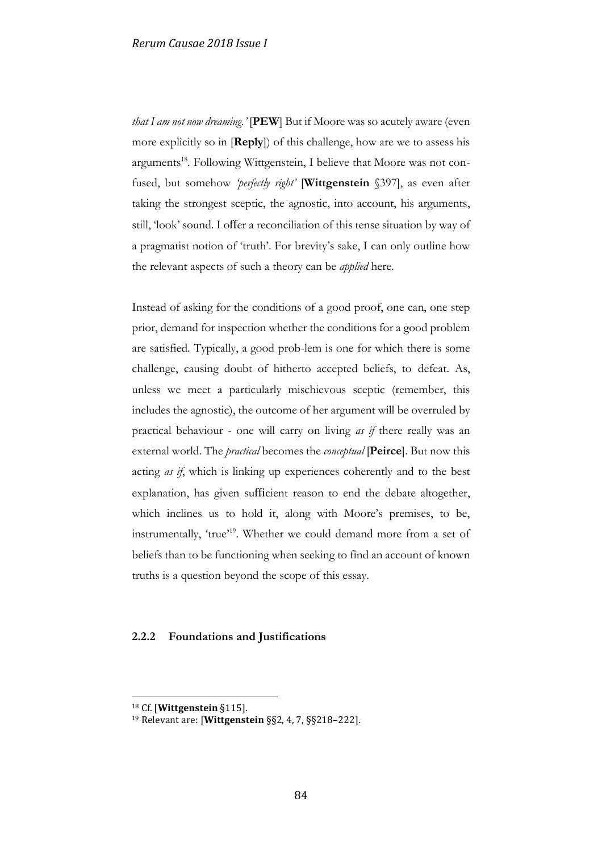*that I am not now dreaming.'* [**PEW**] But if Moore was so acutely aware (even more explicitly so in [**Reply**]) of this challenge, how are we to assess his arguments<sup>18</sup>. Following Wittgenstein, I believe that Moore was not confused, but somehow *'perfectly right'* [**Wittgenstein** §397], as even after taking the strongest sceptic, the agnostic, into account, his arguments, still, 'look' sound. I offer a reconciliation of this tense situation by way of a pragmatist notion of 'truth'. For brevity's sake, I can only outline how the relevant aspects of such a theory can be *applied* here.

Instead of asking for the conditions of a good proof, one can, one step prior, demand for inspection whether the conditions for a good problem are satisfied. Typically, a good prob-lem is one for which there is some challenge, causing doubt of hitherto accepted beliefs, to defeat. As, unless we meet a particularly mischievous sceptic (remember, this includes the agnostic), the outcome of her argument will be overruled by practical behaviour - one will carry on living *as if* there really was an external world. The *practical* becomes the *conceptual* [**Peirce**]. But now this acting *as if*, which is linking up experiences coherently and to the best explanation, has given sufficient reason to end the debate altogether, which inclines us to hold it, along with Moore's premises, to be, instrumentally, 'true'<sup>19</sup>. Whether we could demand more from a set of beliefs than to be functioning when seeking to find an account of known truths is a question beyond the scope of this essay.

## **2.2.2 Foundations and Justifications**

<u>.</u>

<sup>18</sup> Cf. [**Wittgenstein** §115].

<sup>19</sup> Relevant are: [**Wittgenstein** §§2, 4, 7, §§218–222].